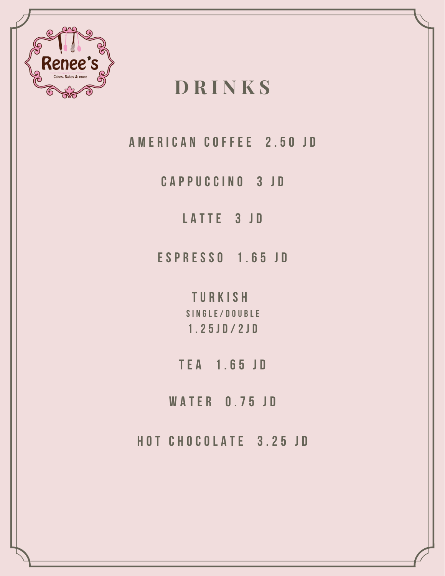

# **D R I N K S**

**A M E R I C A N C O F F E E 2 . 5 0 J D**

**C A P P U C C I N O 3 J D**

**L A T T E 3 J D**

**E S P R E S S O 1 . 6 5 J D**

**T U R K I S H S I N G L E / D O U B L E 1 . 2 5 J D / 2 J D**

**T E A 1 . 6 5 J D**

**W A T E R 0 . 7 5 J D**

**H O T C H O C O L A T E 3 . 2 5 J D**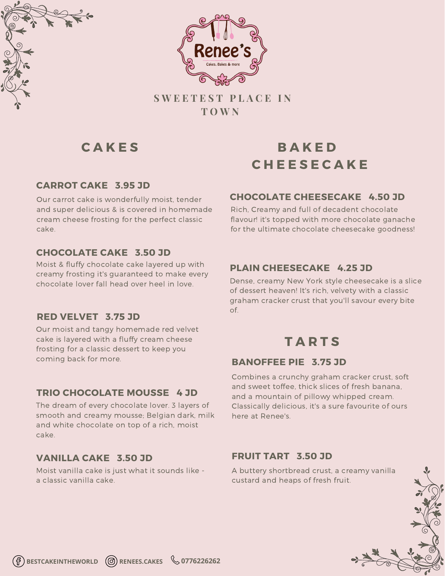



**S W E E T E S T P L A C E I N T O W N**

#### **CARROT CAKE 3.95 JD**

Our carrot cake is wonderfully moist, tender and super delicious & is covered in homemade cream cheese frosting for the perfect classic cake.

#### **CHOCOLATE CAKE 3.50 JD**

Moist & fluffy chocolate cake layered up with creamy frosting it's guaranteed to make every chocolate lover fall head over heel in love.

#### **RED VELVET 3.75 JD**

Our moist and tangy homemade red velvet cake is layered with a fluffy cream cheese frosting for a classic dessert to keep you coming back for more.

#### **TRIO CHOCOLATE MOUSSE 4 JD**

The dream of every chocolate lover. 3 layers of smooth and creamy mousse; Belgian dark, milk and white chocolate on top of a rich, moist cake.

#### **VANILLA CAKE 3.50 JD**

Moist vanilla cake is just what it sounds like a classic vanilla cake.

# **C A K E S B A K E D C H E E S E C A K E**

#### **CHOCOLATE CHEESECAKE 4.50 JD**

Rich, Creamy and full of decadent chocolate flavour! it's topped with more chocolate ganache for the ultimate chocolate cheesecake goodness!

#### **PLAIN CHEESECAKE 4.25 JD**

Dense, creamy New York style cheesecake is a slice of dessert heaven! It's rich, velvety with a classic graham cracker crust that you'll savour every bite of.

## **T A R T S**

#### **BANOFFEE PIE 3.75 JD**

Combines a crunchy graham cracker crust, soft and sweet toffee, thick slices of fresh banana, and a mountain of pillowy whipped cream. Classically delicious, it's a sure favourite of ours here at Renee's.

#### **FRUIT TART 3.50 JD**

A buttery shortbread crust, a creamy vanilla custard and heaps of fresh fruit.